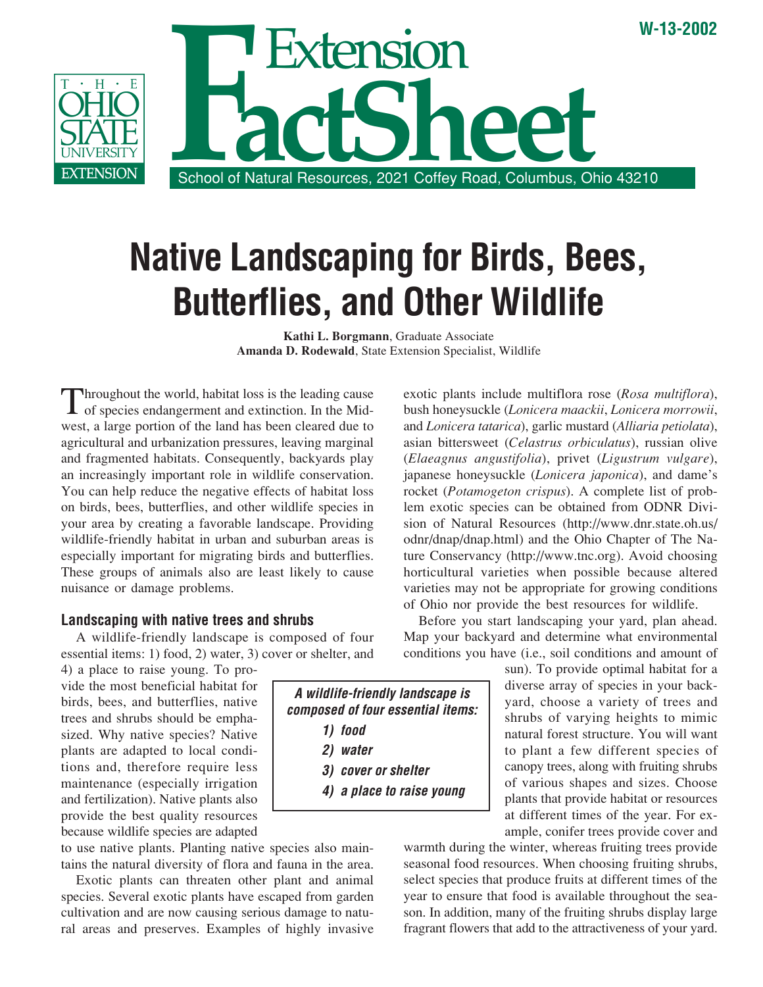

# **Native Landscaping for Birds, Bees, Butterflies, and Other Wildlife**

**Kathi L. Borgmann**, Graduate Associate **Amanda D. Rodewald**, State Extension Specialist, Wildlife

Throughout the world, habitat loss is the leading cause of species endangerment and extinction. In the Midwest, a large portion of the land has been cleared due to agricultural and urbanization pressures, leaving marginal and fragmented habitats. Consequently, backyards play an increasingly important role in wildlife conservation. You can help reduce the negative effects of habitat loss on birds, bees, butterflies, and other wildlife species in your area by creating a favorable landscape. Providing wildlife-friendly habitat in urban and suburban areas is especially important for migrating birds and butterflies. These groups of animals also are least likely to cause nuisance or damage problems.

#### **Landscaping with native trees and shrubs**

A wildlife-friendly landscape is composed of four essential items: 1) food, 2) water, 3) cover or shelter, and

4) a place to raise young. To provide the most beneficial habitat for birds, bees, and butterflies, native trees and shrubs should be emphasized. Why native species? Native plants are adapted to local conditions and, therefore require less maintenance (especially irrigation and fertilization). Native plants also provide the best quality resources because wildlife species are adapted

to use native plants. Planting native species also maintains the natural diversity of flora and fauna in the area.

Exotic plants can threaten other plant and animal species. Several exotic plants have escaped from garden cultivation and are now causing serious damage to natural areas and preserves. Examples of highly invasive

(*Elaeagnus angustifolia*), privet (*Ligustrum vulgare*), japanese honeysuckle (*Lonicera japonica*), and dame's rocket (*Potamogeton crispus*). A complete list of problem exotic species can be obtained from ODNR Division of Natural Resources (http://www.dnr.state.oh.us/ odnr/dnap/dnap.html) and the Ohio Chapter of The Nature Conservancy (http://www.tnc.org). Avoid choosing horticultural varieties when possible because altered varieties may not be appropriate for growing conditions of Ohio nor provide the best resources for wildlife.

exotic plants include multiflora rose (*Rosa multiflora*), bush honeysuckle (*Lonicera maackii*, *Lonicera morrowii*, and *Lonicera tatarica*), garlic mustard (*Alliaria petiolata*), asian bittersweet (*Celastrus orbiculatus*), russian olive

Before you start landscaping your yard, plan ahead. Map your backyard and determine what environmental conditions you have (i.e., soil conditions and amount of

> sun). To provide optimal habitat for a diverse array of species in your backyard, choose a variety of trees and shrubs of varying heights to mimic natural forest structure. You will want to plant a few different species of canopy trees, along with fruiting shrubs of various shapes and sizes. Choose plants that provide habitat or resources at different times of the year. For example, conifer trees provide cover and

warmth during the winter, whereas fruiting trees provide seasonal food resources. When choosing fruiting shrubs, select species that produce fruits at different times of the year to ensure that food is available throughout the season. In addition, many of the fruiting shrubs display large fragrant flowers that add to the attractiveness of your yard.

**A wildlife-friendly landscape is composed of four essential items: 1) food 2) water 3) cover or shelter 4) a place to raise young**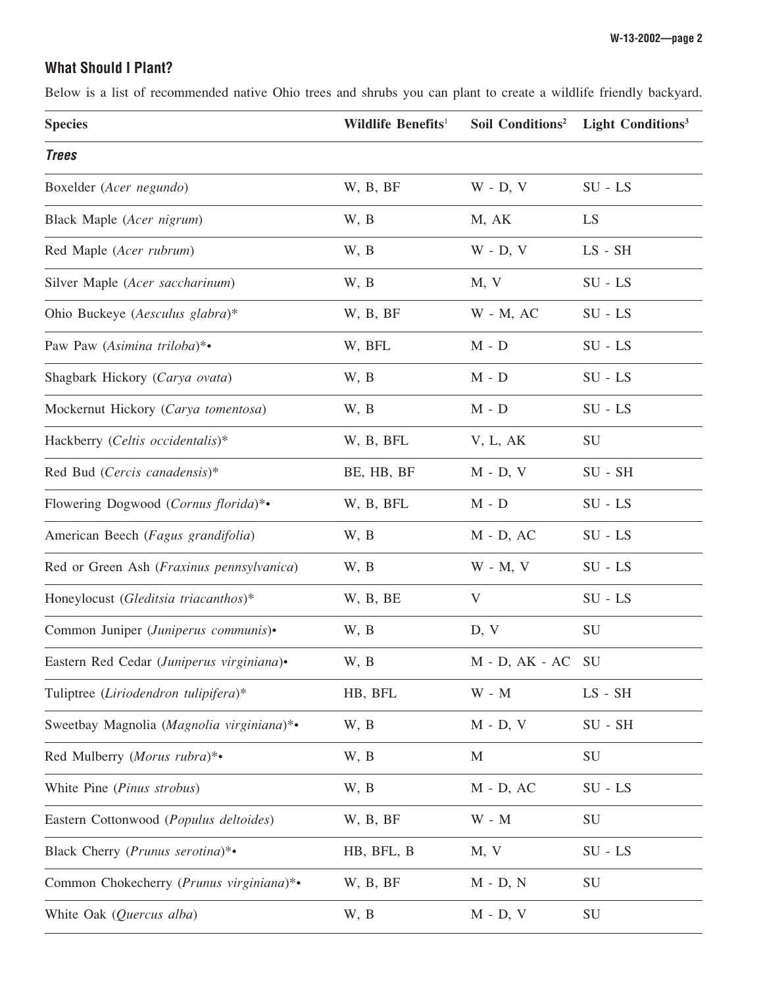## **What Should I Plant?**

Below is a list of recommended native Ohio trees and shrubs you can plant to create a wildlife friendly backyard.

| <b>Species</b>                            | Wildlife Benefits <sup>1</sup> | Soil Conditions <sup>2</sup> | <b>Light Conditions</b> <sup>3</sup> |
|-------------------------------------------|--------------------------------|------------------------------|--------------------------------------|
| <b>Trees</b>                              |                                |                              |                                      |
| Boxelder (Acer negundo)                   | W, B, BF                       | $W - D, V$                   | $SU - LS$                            |
| Black Maple (Acer nigrum)                 | W, B                           | M, AK                        | LS                                   |
| Red Maple (Acer rubrum)                   | W, B                           | $W - D, V$                   | LS - SH                              |
| Silver Maple (Acer saccharinum)           | W, B                           | M, V                         | $SU - LS$                            |
| Ohio Buckeye (Aesculus glabra)*           | W, B, BF                       | $W - M$ , AC                 | $SU - LS$                            |
| Paw Paw (Asimina triloba)*•               | W, BFL                         | $M - D$                      | $SU - LS$                            |
| Shagbark Hickory (Carya ovata)            | W, B                           | $M - D$                      | $SU - LS$                            |
| Mockernut Hickory (Carya tomentosa)       | W, B                           | $M - D$                      | $SU - LS$                            |
| Hackberry (Celtis occidentalis)*          | W, B, BFL                      | V, L, AK                     | <b>SU</b>                            |
| Red Bud (Cercis canadensis)*              | BE, HB, BF                     | $M - D, V$                   | $SU - SH$                            |
| Flowering Dogwood (Cornus florida)*•      | W, B, BFL                      | $M - D$                      | $SU - LS$                            |
| American Beech (Fagus grandifolia)        | W, B                           | $M - D, AC$                  | $SU - LS$                            |
| Red or Green Ash (Fraxinus pennsylvanica) | W, B                           | $W - M$ , $V$                | $SU - LS$                            |
| Honeylocust (Gleditsia triacanthos)*      | W, B, BE                       | V                            | $SU - LS$                            |
| Common Juniper (Juniperus communis)•      | W, B                           | D, V                         | SU                                   |
| Eastern Red Cedar (Juniperus virginiana)• | W, B                           | $M - D$ , $AK - AC$ SU       |                                      |
| Tuliptree (Liriodendron tulipifera)*      | HB, BFL                        | $W - M$                      | $LS$ - $SH$                          |
| Sweetbay Magnolia (Magnolia virginiana)*• | W, B                           | $M - D, V$                   | $SU - SH$                            |
| Red Mulberry (Morus rubra)*•              | W, B                           | M                            | SU                                   |
| White Pine (Pinus strobus)                | W, B                           | $M - D$ , AC                 | $SU - LS$                            |
| Eastern Cottonwood (Populus deltoides)    | W, B, BF                       | $W - M$                      | SU                                   |
| Black Cherry (Prunus serotina)*•          | HB, BFL, B                     | M, V                         | $SU - LS$                            |
| Common Chokecherry (Prunus virginiana)*•  | W, B, BF                       | $M - D, N$                   | SU                                   |
| White Oak (Quercus alba)                  | W, B                           | $M - D, V$                   | SU                                   |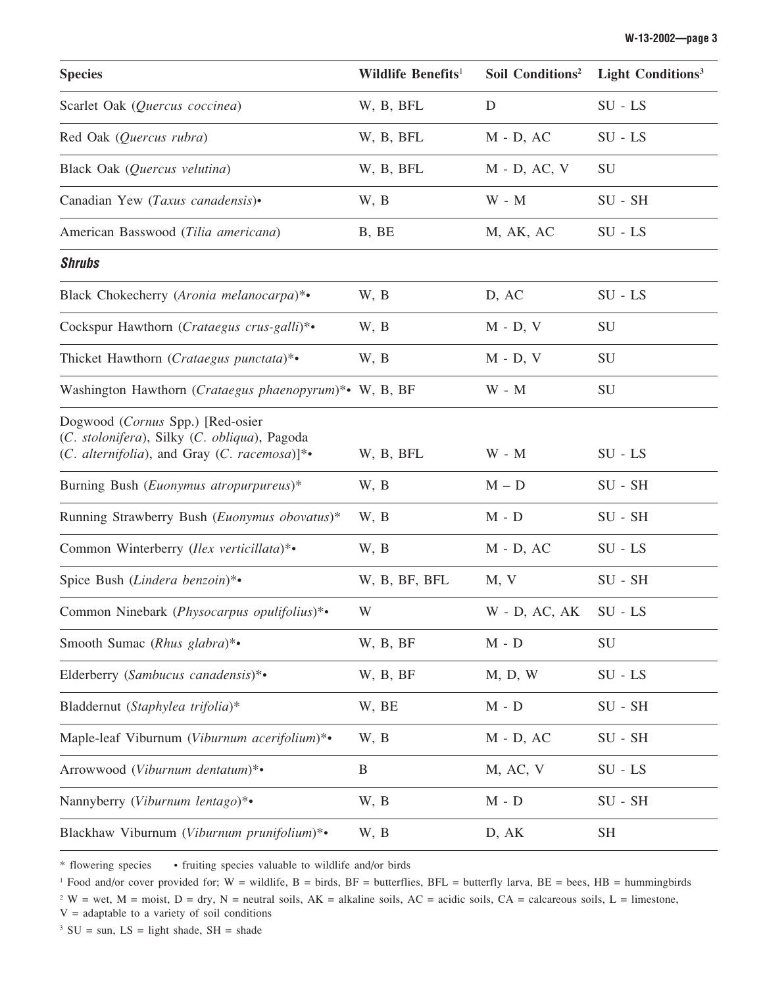| <b>Species</b>                                                                                                                   | Wildlife Benefits <sup>1</sup> | Soil Conditions <sup>2</sup> | Light Conditions <sup>3</sup> |
|----------------------------------------------------------------------------------------------------------------------------------|--------------------------------|------------------------------|-------------------------------|
| Scarlet Oak (Quercus coccinea)                                                                                                   | W, B, BFL                      | D                            | $SU - LS$                     |
| Red Oak (Quercus rubra)                                                                                                          | W, B, BFL                      | $M - D$ , AC                 | $SU - LS$                     |
| Black Oak (Quercus velutina)                                                                                                     | W, B, BFL                      | $M - D$ , AC, V              | <b>SU</b>                     |
| Canadian Yew (Taxus canadensis)•                                                                                                 | W, B                           | $W - M$                      | $SU - SH$                     |
| American Basswood (Tilia americana)                                                                                              | B, BE                          | M, AK, AC                    | $SU - LS$                     |
| <b>Shrubs</b>                                                                                                                    |                                |                              |                               |
| Black Chokecherry (Aronia melanocarpa)*•                                                                                         | W, B                           | D, AC                        | $SU - LS$                     |
| Cockspur Hawthorn (Crataegus crus-galli)*•                                                                                       | W, B                           | $M - D, V$                   | SU                            |
| Thicket Hawthorn (Crataegus punctata)*•                                                                                          | W, B                           | $M - D$ , $V$                | SU                            |
| Washington Hawthorn (Crataegus phaenopyrum)*• W, B, BF                                                                           |                                | $W - M$                      | SU                            |
| Dogwood (Cornus Spp.) [Red-osier<br>(C. stolonifera), Silky (C. obliqua), Pagoda<br>(C. alternifolia), and Gray (C. racemosa)]*• | W, B, BFL                      | $W - M$                      | $SU - LS$                     |
| Burning Bush (Euonymus atropurpureus)*                                                                                           | W, B                           | $M - D$                      | $SU - SH$                     |
| Running Strawberry Bush (Euonymus obovatus)*                                                                                     | W, B                           | $M - D$                      | $SU - SH$                     |
| Common Winterberry (Ilex verticillata)*•                                                                                         | W, B                           | $M - D$ , AC                 | $SU - LS$                     |
| Spice Bush (Lindera benzoin)*•                                                                                                   | W, B, BF, BFL                  | M, V                         | $SU - SH$                     |
| Common Ninebark (Physocarpus opulifolius)*•                                                                                      | W                              | $W$ - D, AC, AK              | $SU - LS$                     |
| Smooth Sumac (Rhus glabra)*•                                                                                                     | W, B, BF                       | $M - D$                      | SU                            |
| Elderberry (Sambucus canadensis)*•                                                                                               | W, B, BF                       | M, D, W                      | $SU - LS$                     |
| Bladdernut (Staphylea trifolia)*                                                                                                 | W, BE                          | $M - D$                      | $SU - SH$                     |
| Maple-leaf Viburnum (Viburnum acerifolium)*•                                                                                     | W, B                           | $M - D, AC$                  | $SU - SH$                     |
| Arrowwood (Viburnum dentatum)*•                                                                                                  | B                              | M, AC, V                     | $SU - LS$                     |
| Nannyberry (Viburnum lentago)*•                                                                                                  | W, B                           | $M - D$                      | $SU - SH$                     |
| Blackhaw Viburnum (Viburnum prunifolium)*•                                                                                       | W, B                           | D, AK                        | <b>SH</b>                     |

\* flowering species • fruiting species valuable to wildlife and/or birds

<sup>1</sup> Food and/or cover provided for; W = wildlife, B = birds, BF = butterflies, BFL = butterfly larva, BE = bees, HB = hummingbirds

<sup>2</sup> W = wet, M = moist, D = dry, N = neutral soils, AK = alkaline soils, AC = acidic soils, CA = calcareous soils, L = limestone,  $V =$  adaptable to a variety of soil conditions

<sup>3</sup> SU = sun, LS = light shade, SH = shade